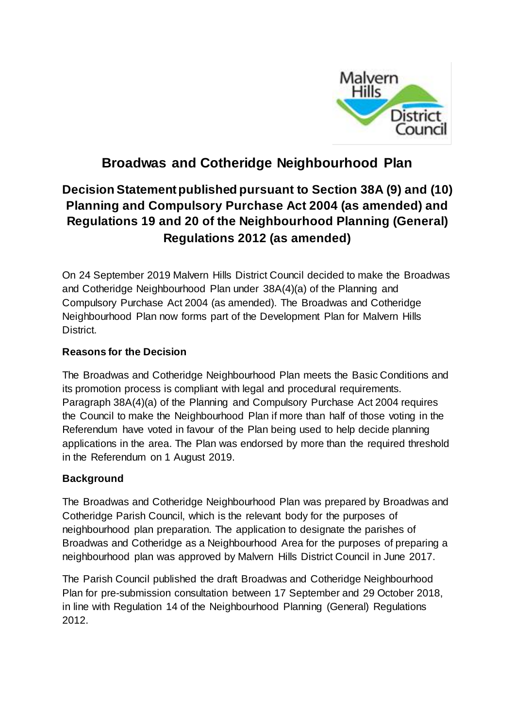

# **Broadwas and Cotheridge Neighbourhood Plan**

## **Decision Statement published pursuant to Section 38A (9) and (10) Planning and Compulsory Purchase Act 2004 (as amended) and Regulations 19 and 20 of the Neighbourhood Planning (General) Regulations 2012 (as amended)**

On 24 September 2019 Malvern Hills District Council decided to make the Broadwas and Cotheridge Neighbourhood Plan under 38A(4)(a) of the Planning and Compulsory Purchase Act 2004 (as amended). The Broadwas and Cotheridge Neighbourhood Plan now forms part of the Development Plan for Malvern Hills District.

### **Reasons for the Decision**

The Broadwas and Cotheridge Neighbourhood Plan meets the Basic Conditions and its promotion process is compliant with legal and procedural requirements. Paragraph 38A(4)(a) of the Planning and Compulsory Purchase Act 2004 requires the Council to make the Neighbourhood Plan if more than half of those voting in the Referendum have voted in favour of the Plan being used to help decide planning applications in the area. The Plan was endorsed by more than the required threshold in the Referendum on 1 August 2019.

### **Background**

The Broadwas and Cotheridge Neighbourhood Plan was prepared by Broadwas and Cotheridge Parish Council, which is the relevant body for the purposes of neighbourhood plan preparation. The application to designate the parishes of Broadwas and Cotheridge as a Neighbourhood Area for the purposes of preparing a neighbourhood plan was approved by Malvern Hills District Council in June 2017.

The Parish Council published the draft Broadwas and Cotheridge Neighbourhood Plan for pre-submission consultation between 17 September and 29 October 2018, in line with Regulation 14 of the Neighbourhood Planning (General) Regulations 2012.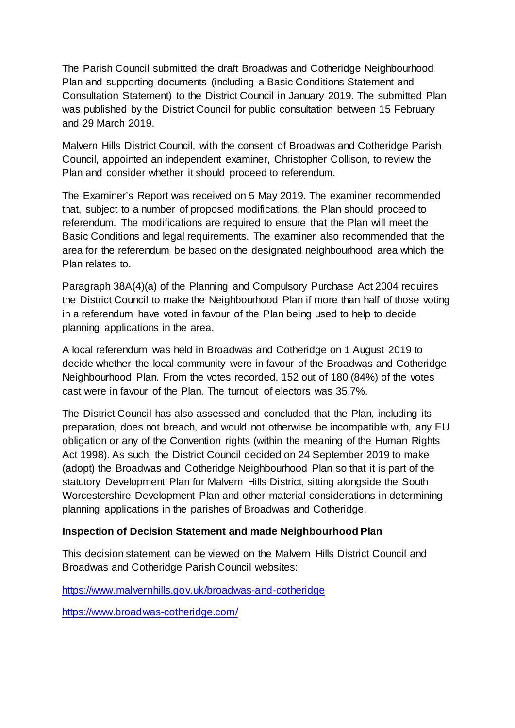The Parish Council submitted the draft Broadwas and Cotheridge Neighbourhood Plan and supporting documents (including a Basic Conditions Statement and Consultation Statement) to the District Council in January 2019. The submitted Plan was published by the District Council for public consultation between 15 February and 29 March 2019.

Malvern Hills District Council, with the consent of Broadwas and Cotheridge Parish Council, appointed an independent examiner, Christopher Collison, to review the Plan and consider whether it should proceed to referendum.

The Examiner's Report was received on 5 May 2019. The examiner recommended that, subject to a number of proposed modifications, the Plan should proceed to referendum. The modifications are required to ensure that the Plan will meet the Basic Conditions and legal requirements. The examiner also recommended that the area for the referendum be based on the designated neighbourhood area which the Plan relates to.

Paragraph 38A(4)(a) of the Planning and Compulsory Purchase Act 2004 requires the District Council to make the Neighbourhood Plan if more than half of those voting in a referendum have voted in favour of the Plan being used to help to decide planning applications in the area.

A local referendum was held in Broadwas and Cotheridge on 1 August 2019 to decide whether the local community were in favour of the Broadwas and Cotheridge Neighbourhood Plan. From the votes recorded, 152 out of 180 (84%) of the votes cast were in favour of the Plan. The turnout of electors was 35.7%.

The District Council has also assessed and concluded that the Plan, including its preparation, does not breach, and would not otherwise be incompatible with, any EU obligation or any of the Convention rights (within the meaning of the Human Rights Act 1998). As such, the District Council decided on 24 September 2019 to make (adopt) the Broadwas and Cotheridge Neighbourhood Plan so that it is part of the statutory Development Plan for Malvern Hills District, sitting alongside the South Worcestershire Development Plan and other material considerations in determining planning applications in the parishes of Broadwas and Cotheridge.

#### **Inspection of Decision Statement and made Neighbourhood Plan**

This decision statement can be viewed on the Malvern Hills District Council and Broadwas and Cotheridge Parish Council websites:

<https://www.malvernhills.gov.uk/broadwas-and-cotheridge>

<https://www.broadwas-cotheridge.com/>